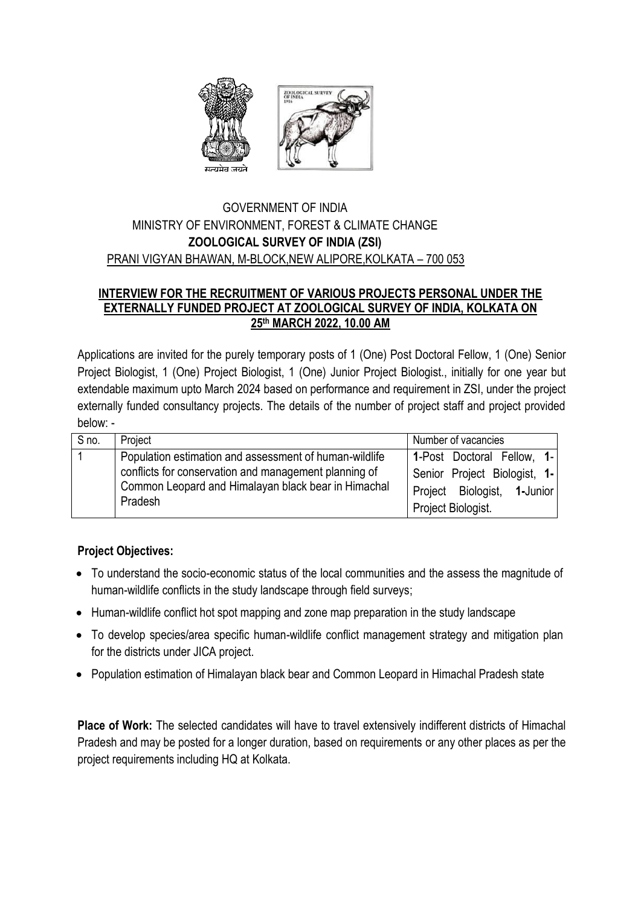

### GOVERNMENT OF INDIA MINISTRY OF ENVIRONMENT, FOREST & CLIMATE CHANGE **ZOOLOGICAL SURVEY OF INDIA (ZSI)** PRANI VIGYAN BHAWAN, M-BLOCK,NEW ALIPORE,KOLKATA – 700 053

#### **INTERVIEW FOR THE RECRUITMENT OF VARIOUS PROJECTS PERSONAL UNDER THE EXTERNALLY FUNDED PROJECT AT ZOOLOGICAL SURVEY OF INDIA, KOLKATA ON 25 th MARCH 2022, 10.00 AM**

Applications are invited for the purely temporary posts of 1 (One) Post Doctoral Fellow, 1 (One) Senior Project Biologist, 1 (One) Project Biologist, 1 (One) Junior Project Biologist., initially for one year but extendable maximum upto March 2024 based on performance and requirement in ZSI, under the project externally funded consultancy projects. The details of the number of project staff and project provided below: -

| S no. | Project                                                                                                                 | Number of vacancies          |
|-------|-------------------------------------------------------------------------------------------------------------------------|------------------------------|
|       | Population estimation and assessment of human-wildlife                                                                  | 1-Post Doctoral Fellow, 1-   |
|       | conflicts for conservation and management planning of<br>Common Leopard and Himalayan black bear in Himachal<br>Pradesh | Senior Project Biologist, 1- |
|       |                                                                                                                         | Project Biologist, 1-Junior  |
|       |                                                                                                                         | Project Biologist.           |

### **Project Objectives:**

- To understand the socio-economic status of the local communities and the assess the magnitude of human-wildlife conflicts in the study landscape through field surveys;
- Human-wildlife conflict hot spot mapping and zone map preparation in the study landscape
- To develop species/area specific human-wildlife conflict management strategy and mitigation plan for the districts under JICA project.
- Population estimation of Himalayan black bear and Common Leopard in Himachal Pradesh state

**Place of Work:** The selected candidates will have to travel extensively indifferent districts of Himachal Pradesh and may be posted for a longer duration, based on requirements or any other places as per the project requirements including HQ at Kolkata.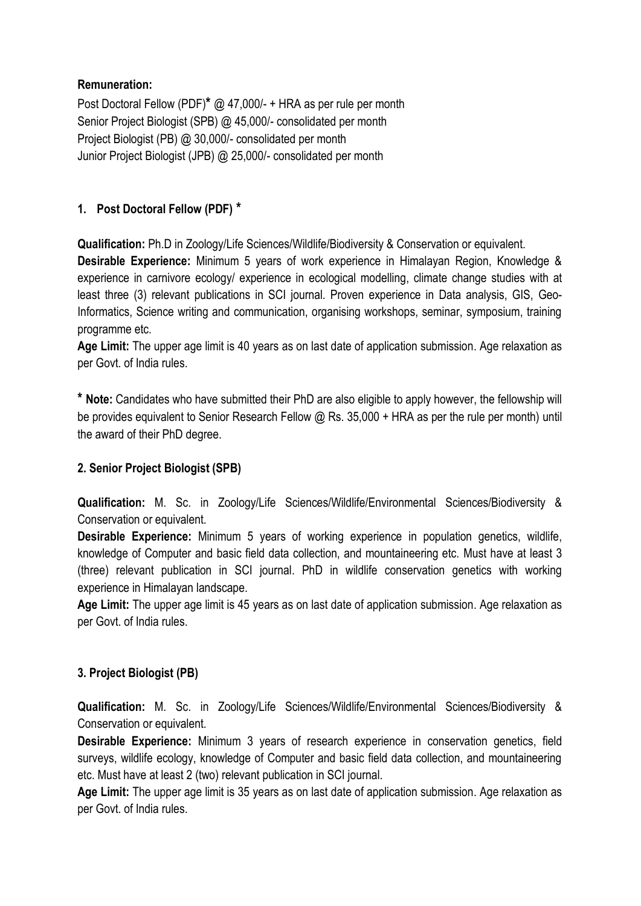### **Remuneration:**

Post Doctoral Fellow (PDF)**\*** @ 47,000/- + HRA as per rule per month Senior Project Biologist (SPB) @ 45,000/- consolidated per month Project Biologist (PB) @ 30,000/- consolidated per month Junior Project Biologist (JPB) @ 25,000/- consolidated per month

## **1. Post Doctoral Fellow (PDF) \***

**Qualification:** Ph.D in Zoology/Life Sciences/Wildlife/Biodiversity & Conservation or equivalent.

**Desirable Experience:** Minimum 5 years of work experience in Himalayan Region, Knowledge & experience in carnivore ecology/ experience in ecological modelling, climate change studies with at least three (3) relevant publications in SCI journal. Proven experience in Data analysis, GIS, Geo-Informatics, Science writing and communication, organising workshops, seminar, symposium, training programme etc.

**Age Limit:** The upper age limit is 40 years as on last date of application submission. Age relaxation as per Govt. of India rules.

**\* Note:** Candidates who have submitted their PhD are also eligible to apply however, the fellowship will be provides equivalent to Senior Research Fellow @ Rs. 35,000 + HRA as per the rule per month) until the award of their PhD degree.

## **2. Senior Project Biologist (SPB)**

**Qualification:** M. Sc. in Zoology/Life Sciences/Wildlife/Environmental Sciences/Biodiversity & Conservation or equivalent.

**Desirable Experience:** Minimum 5 years of working experience in population genetics, wildlife, knowledge of Computer and basic field data collection, and mountaineering etc. Must have at least 3 (three) relevant publication in SCI journal. PhD in wildlife conservation genetics with working experience in Himalayan landscape.

**Age Limit:** The upper age limit is 45 years as on last date of application submission. Age relaxation as per Govt. of India rules.

## **3. Project Biologist (PB)**

**Qualification:** M. Sc. in Zoology/Life Sciences/Wildlife/Environmental Sciences/Biodiversity & Conservation or equivalent.

**Desirable Experience:** Minimum 3 years of research experience in conservation genetics, field surveys, wildlife ecology, knowledge of Computer and basic field data collection, and mountaineering etc. Must have at least 2 (two) relevant publication in SCI journal.

**Age Limit:** The upper age limit is 35 years as on last date of application submission. Age relaxation as per Govt. of India rules.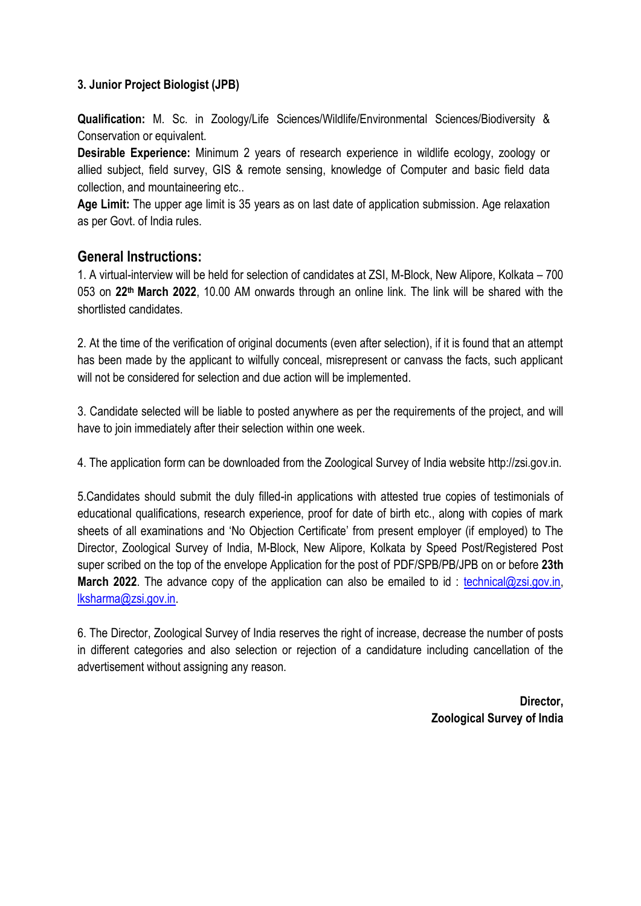### **3. Junior Project Biologist (JPB)**

**Qualification:** M. Sc. in Zoology/Life Sciences/Wildlife/Environmental Sciences/Biodiversity & Conservation or equivalent.

**Desirable Experience:** Minimum 2 years of research experience in wildlife ecology, zoology or allied subject, field survey, GIS & remote sensing, knowledge of Computer and basic field data collection, and mountaineering etc..

**Age Limit:** The upper age limit is 35 years as on last date of application submission. Age relaxation as per Govt. of India rules.

## **General Instructions:**

1. A virtual-interview will be held for selection of candidates at ZSI, M-Block, New Alipore, Kolkata – 700 053 on **22 th March 2022**, 10.00 AM onwards through an online link. The link will be shared with the shortlisted candidates.

2. At the time of the verification of original documents (even after selection), if it is found that an attempt has been made by the applicant to wilfully conceal, misrepresent or canvass the facts, such applicant will not be considered for selection and due action will be implemented.

3. Candidate selected will be liable to posted anywhere as per the requirements of the project, and will have to join immediately after their selection within one week.

4. The application form can be downloaded from the Zoological Survey of India website http://zsi.gov.in.

5.Candidates should submit the duly filled-in applications with attested true copies of testimonials of educational qualifications, research experience, proof for date of birth etc., along with copies of mark sheets of all examinations and 'No Objection Certificate' from present employer (if employed) to The Director, Zoological Survey of India, M-Block, New Alipore, Kolkata by Speed Post/Registered Post super scribed on the top of the envelope Application for the post of PDF/SPB/PB/JPB on or before **23th March 2022**. The advance copy of the application can also be emailed to id: [technical@zsi.gov.in,](mailto:technical@zsi.gov.in) [lksharma@zsi.gov.in.](mailto:lksharma@zsi.gov.in)

6. The Director, Zoological Survey of India reserves the right of increase, decrease the number of posts in different categories and also selection or rejection of a candidature including cancellation of the advertisement without assigning any reason.

> **Director, Zoological Survey of India**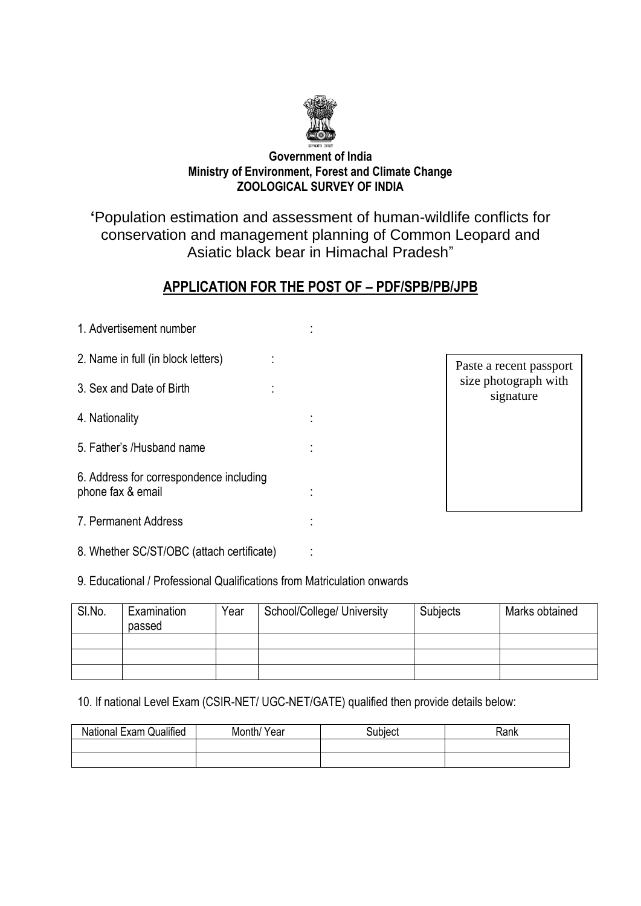

#### **Government of India Ministry of Environment, Forest and Climate Change ZOOLOGICAL SURVEY OF INDIA**

# **'**Population estimation and assessment of human-wildlife conflicts for conservation and management planning of Common Leopard and Asiatic black bear in Himachal Pradesh"

# **APPLICATION FOR THE POST OF – PDF/SPB/PB/JPB**

| 1. Advertisement number                                      |  |
|--------------------------------------------------------------|--|
| 2. Name in full (in block letters)                           |  |
| 3. Sex and Date of Birth                                     |  |
| 4. Nationality                                               |  |
| 5. Father's /Husband name                                    |  |
| 6. Address for correspondence including<br>phone fax & email |  |
| 7. Permanent Address                                         |  |
|                                                              |  |

8. Whether SC/ST/OBC (attach certificate) :

Paste a recent passport size photograph with signature

9. Educational / Professional Qualifications from Matriculation onwards

| SI.No. | Examination<br>passed | Year | School/College/ University | Subjects | Marks obtained |
|--------|-----------------------|------|----------------------------|----------|----------------|
|        |                       |      |                            |          |                |
|        |                       |      |                            |          |                |
|        |                       |      |                            |          |                |

10. If national Level Exam (CSIR-NET/ UGC-NET/GATE) qualified then provide details below:

| Qualified<br>National L<br>. Exam | Month/<br>Year | subiecl | Rank |
|-----------------------------------|----------------|---------|------|
|                                   |                |         |      |
|                                   |                |         |      |